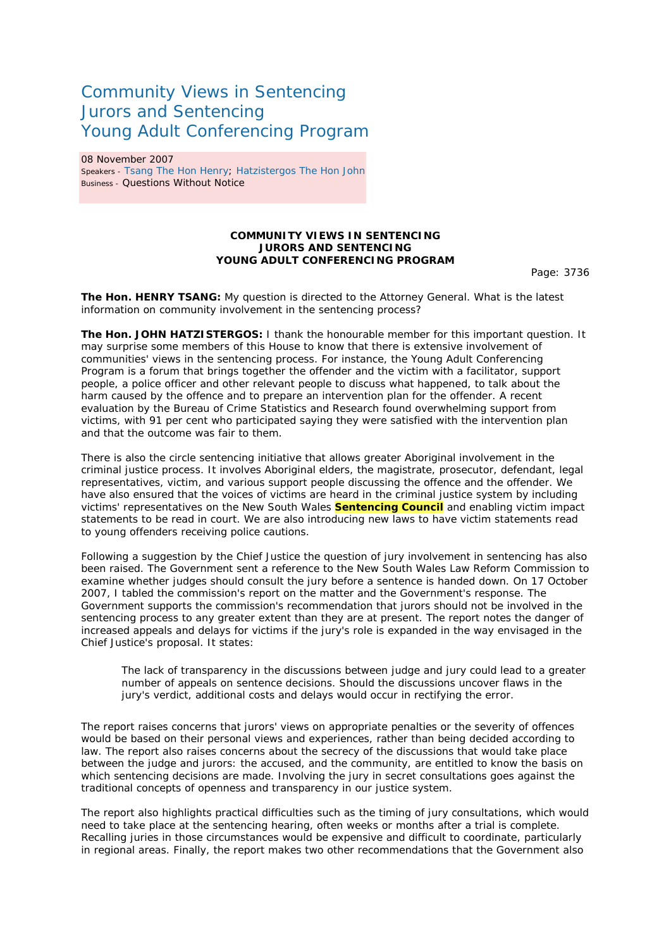## Community Views in Sentencing Jurors and Sentencing Young Adult Conferencing Program

08 November 2007 Speakers - Tsang The Hon Henry; Hatzistergos The Hon John Business - Questions Without Notice

## **COMMUNITY VIEWS IN SENTENCING JURORS AND SENTENCING YOUNG ADULT CONFERENCING PROGRAM**

Page: 3736

**The Hon. HENRY TSANG:** My question is directed to the Attorney General. What is the latest information on community involvement in the sentencing process?

**The Hon. JOHN HATZISTERGOS:** I thank the honourable member for this important question. It may surprise some members of this House to know that there is extensive involvement of communities' views in the sentencing process. For instance, the Young Adult Conferencing Program is a forum that brings together the offender and the victim with a facilitator, support people, a police officer and other relevant people to discuss what happened, to talk about the harm caused by the offence and to prepare an intervention plan for the offender. A recent evaluation by the Bureau of Crime Statistics and Research found overwhelming support from victims, with 91 per cent who participated saying they were satisfied with the intervention plan and that the outcome was fair to them.

There is also the circle sentencing initiative that allows greater Aboriginal involvement in the criminal justice process. It involves Aboriginal elders, the magistrate, prosecutor, defendant, legal representatives, victim, and various support people discussing the offence and the offender. We have also ensured that the voices of victims are heard in the criminal justice system by including victims' representatives on the New South Wales **Sentencing Council** and enabling victim impact statements to be read in court. We are also introducing new laws to have victim statements read to young offenders receiving police cautions.

Following a suggestion by the Chief Justice the question of jury involvement in sentencing has also been raised. The Government sent a reference to the New South Wales Law Reform Commission to examine whether judges should consult the jury before a sentence is handed down. On 17 October 2007, I tabled the commission's report on the matter and the Government's response. The Government supports the commission's recommendation that jurors should not be involved in the sentencing process to any greater extent than they are at present. The report notes the danger of increased appeals and delays for victims if the jury's role is expanded in the way envisaged in the Chief Justice's proposal. It states:

The lack of transparency in the discussions between judge and jury could lead to a greater number of appeals on sentence decisions. Should the discussions uncover flaws in the jury's verdict, additional costs and delays would occur in rectifying the error.

The report raises concerns that jurors' views on appropriate penalties or the severity of offences would be based on their personal views and experiences, rather than being decided according to law. The report also raises concerns about the secrecy of the discussions that would take place between the judge and jurors: the accused, and the community, are entitled to know the basis on which sentencing decisions are made. Involving the jury in secret consultations goes against the traditional concepts of openness and transparency in our justice system.

The report also highlights practical difficulties such as the timing of jury consultations, which would need to take place at the sentencing hearing, often weeks or months after a trial is complete. Recalling juries in those circumstances would be expensive and difficult to coordinate, particularly in regional areas. Finally, the report makes two other recommendations that the Government also